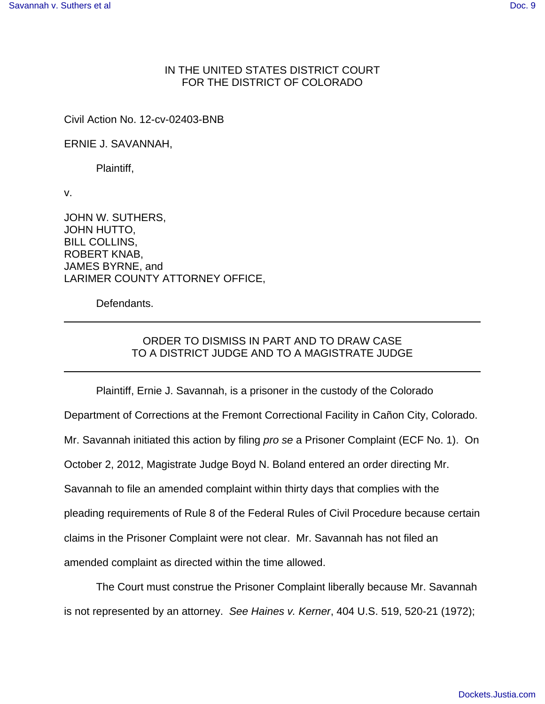## IN THE UNITED STATES DISTRICT COURT FOR THE DISTRICT OF COLORADO

Civil Action No. 12-cv-02403-BNB

ERNIE J. SAVANNAH,

Plaintiff,

v.

JOHN W. SUTHERS, JOHN HUTTO, BILL COLLINS, ROBERT KNAB, JAMES BYRNE, and LARIMER COUNTY ATTORNEY OFFICE,

Defendants.

## ORDER TO DISMISS IN PART AND TO DRAW CASE TO A DISTRICT JUDGE AND TO A MAGISTRATE JUDGE

Plaintiff, Ernie J. Savannah, is a prisoner in the custody of the Colorado Department of Corrections at the Fremont Correctional Facility in Cañon City, Colorado. Mr. Savannah initiated this action by filing pro se a Prisoner Complaint (ECF No. 1). On October 2, 2012, Magistrate Judge Boyd N. Boland entered an order directing Mr. Savannah to file an amended complaint within thirty days that complies with the pleading requirements of Rule 8 of the Federal Rules of Civil Procedure because certain claims in the Prisoner Complaint were not clear. Mr. Savannah has not filed an amended complaint as directed within the time allowed.

The Court must construe the Prisoner Complaint liberally because Mr. Savannah is not represented by an attorney. See Haines v. Kerner, 404 U.S. 519, 520-21 (1972);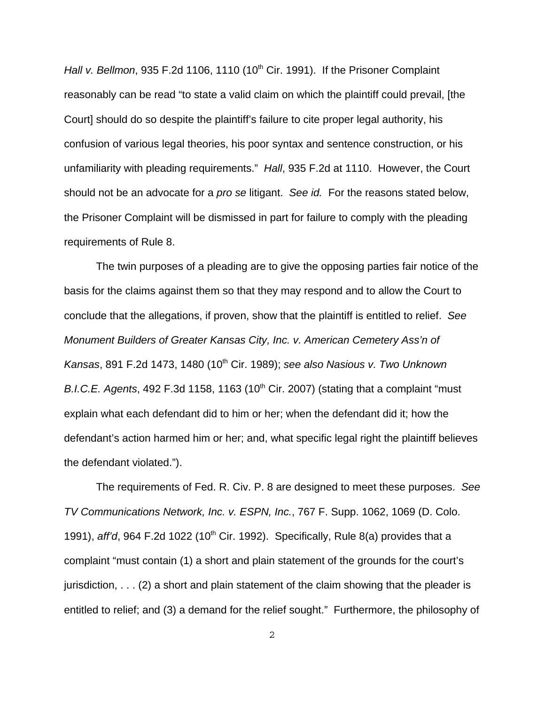Hall v. Bellmon, 935 F.2d 1106, 1110 (10<sup>th</sup> Cir. 1991). If the Prisoner Complaint reasonably can be read "to state a valid claim on which the plaintiff could prevail, [the Court] should do so despite the plaintiff's failure to cite proper legal authority, his confusion of various legal theories, his poor syntax and sentence construction, or his unfamiliarity with pleading requirements." Hall, 935 F.2d at 1110. However, the Court should not be an advocate for a *pro se* litigant. See id. For the reasons stated below, the Prisoner Complaint will be dismissed in part for failure to comply with the pleading requirements of Rule 8.

The twin purposes of a pleading are to give the opposing parties fair notice of the basis for the claims against them so that they may respond and to allow the Court to conclude that the allegations, if proven, show that the plaintiff is entitled to relief. See Monument Builders of Greater Kansas City, Inc. v. American Cemetery Ass'n of Kansas, 891 F.2d 1473, 1480 (10<sup>th</sup> Cir. 1989); see also Nasious v. Two Unknown B.I.C.E. Agents, 492 F.3d 1158, 1163 (10<sup>th</sup> Cir. 2007) (stating that a complaint "must explain what each defendant did to him or her; when the defendant did it; how the defendant's action harmed him or her; and, what specific legal right the plaintiff believes the defendant violated.").

The requirements of Fed. R. Civ. P. 8 are designed to meet these purposes. See TV Communications Network, Inc. v. ESPN, Inc., 767 F. Supp. 1062, 1069 (D. Colo. 1991), aff'd, 964 F.2d 1022 (10<sup>th</sup> Cir. 1992). Specifically, Rule 8(a) provides that a complaint "must contain (1) a short and plain statement of the grounds for the court's jurisdiction,  $\dots$  (2) a short and plain statement of the claim showing that the pleader is entitled to relief; and (3) a demand for the relief sought." Furthermore, the philosophy of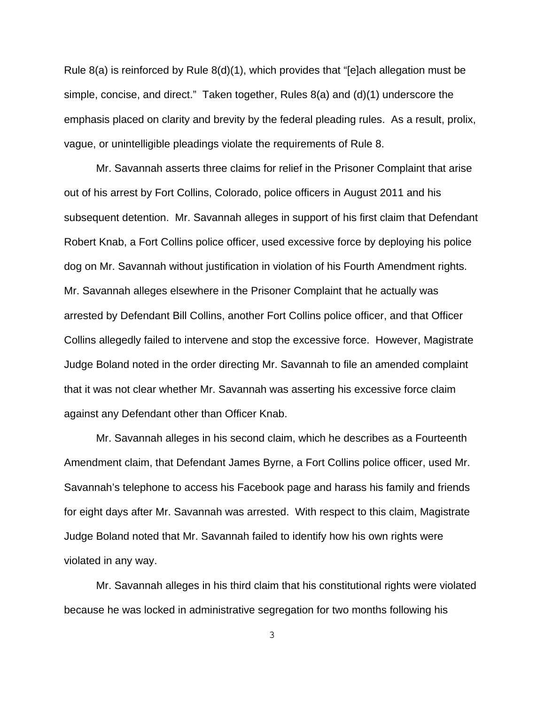Rule 8(a) is reinforced by Rule  $8(d)(1)$ , which provides that "[e]ach allegation must be simple, concise, and direct." Taken together, Rules 8(a) and (d)(1) underscore the emphasis placed on clarity and brevity by the federal pleading rules. As a result, prolix, vague, or unintelligible pleadings violate the requirements of Rule 8.

Mr. Savannah asserts three claims for relief in the Prisoner Complaint that arise out of his arrest by Fort Collins, Colorado, police officers in August 2011 and his subsequent detention. Mr. Savannah alleges in support of his first claim that Defendant Robert Knab, a Fort Collins police officer, used excessive force by deploying his police dog on Mr. Savannah without justification in violation of his Fourth Amendment rights. Mr. Savannah alleges elsewhere in the Prisoner Complaint that he actually was arrested by Defendant Bill Collins, another Fort Collins police officer, and that Officer Collins allegedly failed to intervene and stop the excessive force. However, Magistrate Judge Boland noted in the order directing Mr. Savannah to file an amended complaint that it was not clear whether Mr. Savannah was asserting his excessive force claim against any Defendant other than Officer Knab.

Mr. Savannah alleges in his second claim, which he describes as a Fourteenth Amendment claim, that Defendant James Byrne, a Fort Collins police officer, used Mr. Savannah's telephone to access his Facebook page and harass his family and friends for eight days after Mr. Savannah was arrested. With respect to this claim, Magistrate Judge Boland noted that Mr. Savannah failed to identify how his own rights were violated in any way.

Mr. Savannah alleges in his third claim that his constitutional rights were violated because he was locked in administrative segregation for two months following his

3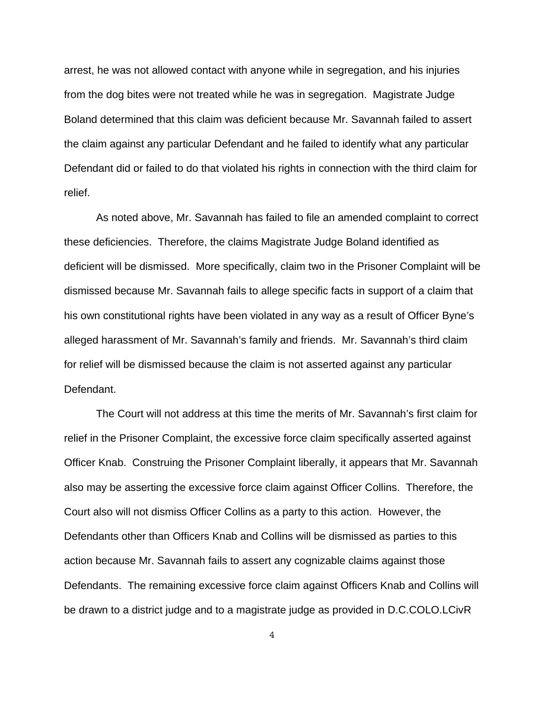arrest, he was not allowed contact with anyone while in segregation, and his injuries from the dog bites were not treated while he was in segregation. Magistrate Judge Boland determined that this claim was deficient because Mr. Savannah failed to assert the claim against any particular Defendant and he failed to identify what any particular Defendant did or failed to do that violated his rights in connection with the third claim for relief.

As noted above, Mr. Savannah has failed to file an amended complaint to correct these deficiencies. Therefore, the claims Magistrate Judge Boland identified as deficient will be dismissed. More specifically, claim two in the Prisoner Complaint will be dismissed because Mr. Savannah fails to allege specific facts in support of a claim that his own constitutional rights have been violated in any way as a result of Officer Byne's alleged harassment of Mr. Savannah's family and friends. Mr. Savannah's third claim for relief will be dismissed because the claim is not asserted against any particular Defendant.

The Court will not address at this time the merits of Mr. Savannah's first claim for relief in the Prisoner Complaint, the excessive force claim specifically asserted against Officer Knab. Construing the Prisoner Complaint liberally, it appears that Mr. Savannah also may be asserting the excessive force claim against Officer Collins. Therefore, the Court also will not dismiss Officer Collins as a party to this action. However, the Defendants other than Officers Knab and Collins will be dismissed as parties to this action because Mr. Savannah fails to assert any cognizable claims against those Defendants. The remaining excessive force claim against Officers Knab and Collins will be drawn to a district judge and to a magistrate judge as provided in D.C.COLO.LCivR

4